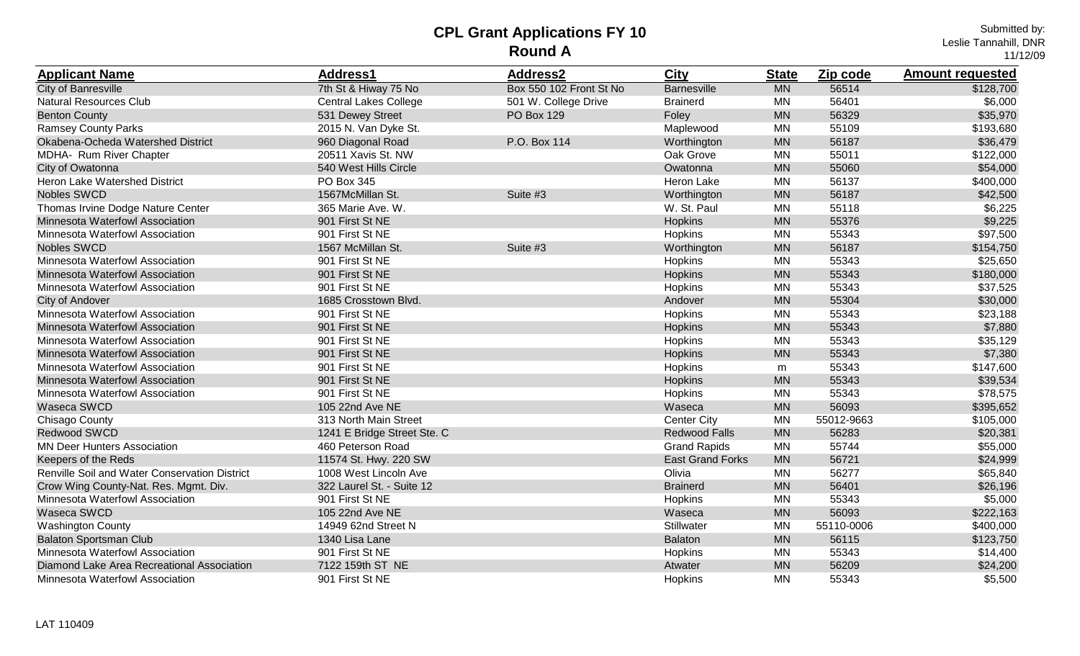| <b>Applicant Name</b>                         | Address1                     | <b>Address2</b>         | <b>City</b>             | <b>State</b> | Zip code   | <b>Amount requested</b> |
|-----------------------------------------------|------------------------------|-------------------------|-------------------------|--------------|------------|-------------------------|
| <b>City of Banresville</b>                    | 7th St & Hiway 75 No         | Box 550 102 Front St No | <b>Barnesville</b>      | <b>MN</b>    | 56514      | \$128,700               |
| <b>Natural Resources Club</b>                 | <b>Central Lakes College</b> | 501 W. College Drive    | <b>Brainerd</b>         | <b>MN</b>    | 56401      | \$6,000                 |
| <b>Benton County</b>                          | 531 Dewey Street             | PO Box 129              | Foley                   | <b>MN</b>    | 56329      | \$35,970                |
| <b>Ramsey County Parks</b>                    | 2015 N. Van Dyke St.         |                         | Maplewood               | <b>MN</b>    | 55109      | \$193,680               |
| Okabena-Ocheda Watershed District             | 960 Diagonal Road            | P.O. Box 114            | Worthington             | <b>MN</b>    | 56187      | \$36,479                |
| MDHA- Rum River Chapter                       | 20511 Xavis St. NW           |                         | Oak Grove               | <b>MN</b>    | 55011      | \$122,000               |
| City of Owatonna                              | 540 West Hills Circle        |                         | Owatonna                | <b>MN</b>    | 55060      | \$54,000                |
| Heron Lake Watershed District                 | <b>PO Box 345</b>            |                         | Heron Lake              | <b>MN</b>    | 56137      | \$400,000               |
| Nobles SWCD                                   | 1567McMillan St.             | Suite #3                | Worthington             | <b>MN</b>    | 56187      | \$42,500                |
| Thomas Irvine Dodge Nature Center             | 365 Marie Ave. W.            |                         | W. St. Paul             | <b>MN</b>    | 55118      | \$6,225                 |
| Minnesota Waterfowl Association               | 901 First St NE              |                         | Hopkins                 | <b>MN</b>    | 55376      | \$9,225                 |
| Minnesota Waterfowl Association               | 901 First St NE              |                         | Hopkins                 | <b>MN</b>    | 55343      | \$97,500                |
| <b>Nobles SWCD</b>                            | 1567 McMillan St.            | Suite #3                | Worthington             | <b>MN</b>    | 56187      | \$154,750               |
| Minnesota Waterfowl Association               | 901 First St NE              |                         | Hopkins                 | <b>MN</b>    | 55343      | \$25,650                |
| Minnesota Waterfowl Association               | 901 First St NE              |                         | <b>Hopkins</b>          | <b>MN</b>    | 55343      | \$180,000               |
| Minnesota Waterfowl Association               | 901 First St NE              |                         | Hopkins                 | <b>MN</b>    | 55343      | \$37,525                |
| <b>City of Andover</b>                        | 1685 Crosstown Blvd.         |                         | Andover                 | <b>MN</b>    | 55304      | \$30,000                |
| Minnesota Waterfowl Association               | 901 First St NE              |                         | Hopkins                 | <b>MN</b>    | 55343      | \$23,188                |
| Minnesota Waterfowl Association               | 901 First St NE              |                         | Hopkins                 | <b>MN</b>    | 55343      | \$7,880                 |
| Minnesota Waterfowl Association               | 901 First St NE              |                         | Hopkins                 | <b>MN</b>    | 55343      | \$35,129                |
| Minnesota Waterfowl Association               | 901 First St NE              |                         | Hopkins                 | <b>MN</b>    | 55343      | \$7,380                 |
| Minnesota Waterfowl Association               | 901 First St NE              |                         | Hopkins                 | m            | 55343      | \$147,600               |
| Minnesota Waterfowl Association               | 901 First St NE              |                         | <b>Hopkins</b>          | <b>MN</b>    | 55343      | \$39,534                |
| Minnesota Waterfowl Association               | 901 First St NE              |                         | Hopkins                 | <b>MN</b>    | 55343      | \$78,575                |
| Waseca SWCD                                   | 105 22nd Ave NE              |                         | Waseca                  | <b>MN</b>    | 56093      | \$395,652               |
| Chisago County                                | 313 North Main Street        |                         | <b>Center City</b>      | <b>MN</b>    | 55012-9663 | \$105,000               |
| <b>Redwood SWCD</b>                           | 1241 E Bridge Street Ste. C  |                         | <b>Redwood Falls</b>    | <b>MN</b>    | 56283      | \$20,381                |
| <b>MN Deer Hunters Association</b>            | 460 Peterson Road            |                         | <b>Grand Rapids</b>     | <b>MN</b>    | 55744      | \$55,000                |
| Keepers of the Reds                           | 11574 St. Hwy. 220 SW        |                         | <b>East Grand Forks</b> | <b>MN</b>    | 56721      | \$24,999                |
| Renville Soil and Water Conservation District | 1008 West Lincoln Ave        |                         | Olivia                  | <b>MN</b>    | 56277      | \$65,840                |
| Crow Wing County-Nat. Res. Mgmt. Div.         | 322 Laurel St. - Suite 12    |                         | <b>Brainerd</b>         | <b>MN</b>    | 56401      | \$26,196                |
| Minnesota Waterfowl Association               | 901 First St NE              |                         | Hopkins                 | <b>MN</b>    | 55343      | \$5,000                 |
| Waseca SWCD                                   | 105 22nd Ave NE              |                         | Waseca                  | <b>MN</b>    | 56093      | \$222,163               |
| <b>Washington County</b>                      | 14949 62nd Street N          |                         | Stillwater              | <b>MN</b>    | 55110-0006 | \$400,000               |
| <b>Balaton Sportsman Club</b>                 | 1340 Lisa Lane               |                         | <b>Balaton</b>          | <b>MN</b>    | 56115      | \$123,750               |
| Minnesota Waterfowl Association               | 901 First St NE              |                         | Hopkins                 | <b>MN</b>    | 55343      | \$14,400                |
| Diamond Lake Area Recreational Association    | 7122 159th ST NE             |                         | Atwater                 | <b>MN</b>    | 56209      | \$24,200                |
| Minnesota Waterfowl Association               | 901 First St NE              |                         | Hopkins                 | <b>MN</b>    | 55343      | \$5,500                 |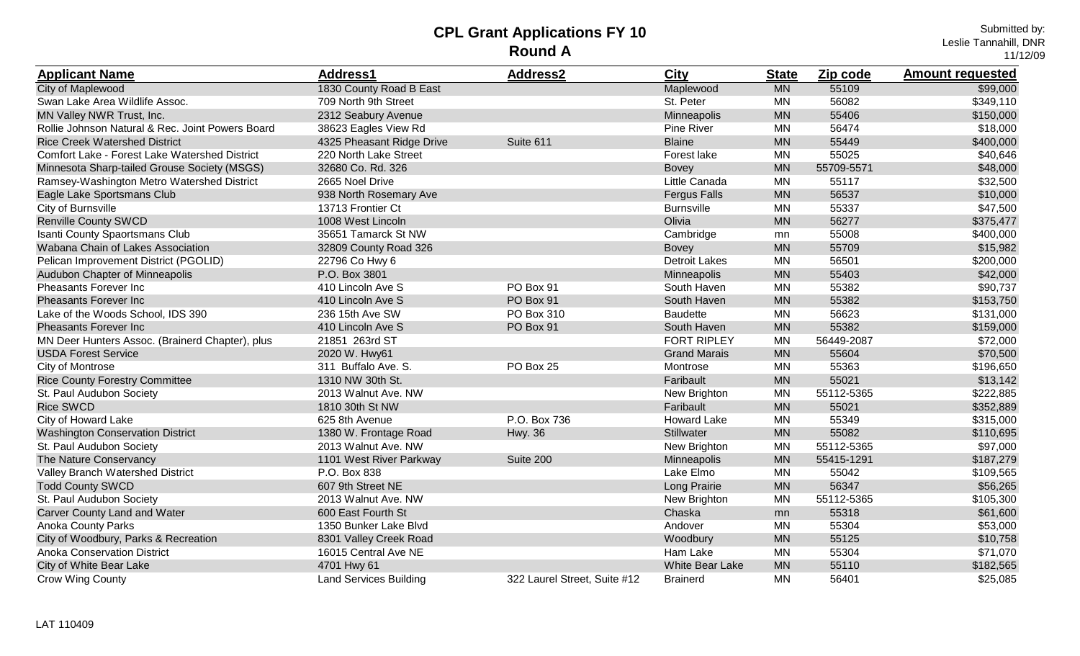| <b>Applicant Name</b>                            | <b>Address1</b>               | <b>Address2</b>              | City                 | <b>State</b> | Zip code   | <b>Amount requested</b> |
|--------------------------------------------------|-------------------------------|------------------------------|----------------------|--------------|------------|-------------------------|
| City of Maplewood                                | 1830 County Road B East       |                              | Maplewood            | <b>MN</b>    | 55109      | \$99,000                |
| Swan Lake Area Wildlife Assoc.                   | 709 North 9th Street          |                              | St. Peter            | MN           | 56082      | \$349,110               |
| MN Valley NWR Trust, Inc.                        | 2312 Seabury Avenue           |                              | Minneapolis          | <b>MN</b>    | 55406      | \$150,000               |
| Rollie Johnson Natural & Rec. Joint Powers Board | 38623 Eagles View Rd          |                              | Pine River           | <b>MN</b>    | 56474      | \$18,000                |
| <b>Rice Creek Watershed District</b>             | 4325 Pheasant Ridge Drive     | Suite 611                    | <b>Blaine</b>        | <b>MN</b>    | 55449      | \$400,000               |
| Comfort Lake - Forest Lake Watershed District    | 220 North Lake Street         |                              | Forest lake          | <b>MN</b>    | 55025      | \$40,646                |
| Minnesota Sharp-tailed Grouse Society (MSGS)     | 32680 Co. Rd. 326             |                              | <b>Bovey</b>         | <b>MN</b>    | 55709-5571 | \$48,000                |
| Ramsey-Washington Metro Watershed District       | 2665 Noel Drive               |                              | Little Canada        | <b>MN</b>    | 55117      | \$32,500                |
| Eagle Lake Sportsmans Club                       | 938 North Rosemary Ave        |                              | <b>Fergus Falls</b>  | <b>MN</b>    | 56537      | \$10,000                |
| City of Burnsville                               | 13713 Frontier Ct             |                              | <b>Burnsville</b>    | <b>MN</b>    | 55337      | \$47,500                |
| <b>Renville County SWCD</b>                      | 1008 West Lincoln             |                              | Olivia               | <b>MN</b>    | 56277      | \$375,477               |
| Isanti County Spaortsmans Club                   | 35651 Tamarck St NW           |                              | Cambridge            | mn           | 55008      | \$400,000               |
| Wabana Chain of Lakes Association                | 32809 County Road 326         |                              | <b>Bovey</b>         | <b>MN</b>    | 55709      | \$15,982                |
| Pelican Improvement District (PGOLID)            | 22796 Co Hwy 6                |                              | <b>Detroit Lakes</b> | <b>MN</b>    | 56501      | \$200,000               |
| Audubon Chapter of Minneapolis                   | P.O. Box 3801                 |                              | Minneapolis          | <b>MN</b>    | 55403      | \$42,000                |
| Pheasants Forever Inc                            | 410 Lincoln Ave S             | PO Box 91                    | South Haven          | <b>MN</b>    | 55382      | \$90,737                |
| <b>Pheasants Forever Inc</b>                     | 410 Lincoln Ave S             | PO Box 91                    | South Haven          | <b>MN</b>    | 55382      | \$153,750               |
| Lake of the Woods School, IDS 390                | 236 15th Ave SW               | PO Box 310                   | <b>Baudette</b>      | MN           | 56623      | \$131,000               |
| <b>Pheasants Forever Inc</b>                     | 410 Lincoln Ave S             | PO Box 91                    | South Haven          | <b>MN</b>    | 55382      | \$159,000               |
| MN Deer Hunters Assoc. (Brainerd Chapter), plus  | 21851 263rd ST                |                              | <b>FORT RIPLEY</b>   | <b>MN</b>    | 56449-2087 | \$72,000                |
| <b>USDA Forest Service</b>                       | 2020 W. Hwy61                 |                              | <b>Grand Marais</b>  | <b>MN</b>    | 55604      | \$70,500                |
| City of Montrose                                 | 311 Buffalo Ave. S.           | PO Box 25                    | Montrose             | MN           | 55363      | \$196,650               |
| <b>Rice County Forestry Committee</b>            | 1310 NW 30th St.              |                              | Faribault            | <b>MN</b>    | 55021      | \$13,142                |
| St. Paul Audubon Society                         | 2013 Walnut Ave. NW           |                              | New Brighton         | <b>MN</b>    | 55112-5365 | \$222,885               |
| <b>Rice SWCD</b>                                 | 1810 30th St NW               |                              | Faribault            | <b>MN</b>    | 55021      | \$352,889               |
| City of Howard Lake                              | 625 8th Avenue                | P.O. Box 736                 | <b>Howard Lake</b>   | <b>MN</b>    | 55349      | \$315,000               |
| <b>Washington Conservation District</b>          | 1380 W. Frontage Road         | <b>Hwy. 36</b>               | Stillwater           | <b>MN</b>    | 55082      | \$110,695               |
| St. Paul Audubon Society                         | 2013 Walnut Ave. NW           |                              | New Brighton         | MN           | 55112-5365 | \$97,000                |
| The Nature Conservancy                           | 1101 West River Parkway       | Suite 200                    | Minneapolis          | <b>MN</b>    | 55415-1291 | \$187,279               |
| Valley Branch Watershed District                 | P.O. Box 838                  |                              | Lake Elmo            | <b>MN</b>    | 55042      | \$109,565               |
| <b>Todd County SWCD</b>                          | 607 9th Street NE             |                              | Long Prairie         | <b>MN</b>    | 56347      | \$56,265                |
| St. Paul Audubon Society                         | 2013 Walnut Ave. NW           |                              | New Brighton         | <b>MN</b>    | 55112-5365 | \$105,300               |
| <b>Carver County Land and Water</b>              | 600 East Fourth St            |                              | Chaska               | mn           | 55318      | \$61,600                |
| <b>Anoka County Parks</b>                        | 1350 Bunker Lake Blvd         |                              | Andover              | <b>MN</b>    | 55304      | \$53,000                |
| City of Woodbury, Parks & Recreation             | 8301 Valley Creek Road        |                              | Woodbury             | <b>MN</b>    | 55125      | \$10,758                |
| <b>Anoka Conservation District</b>               | 16015 Central Ave NE          |                              | Ham Lake             | <b>MN</b>    | 55304      | \$71,070                |
| City of White Bear Lake                          | 4701 Hwy 61                   |                              | White Bear Lake      | <b>MN</b>    | 55110      | \$182,565               |
| <b>Crow Wing County</b>                          | <b>Land Services Building</b> | 322 Laurel Street, Suite #12 | <b>Brainerd</b>      | <b>MN</b>    | 56401      | \$25,085                |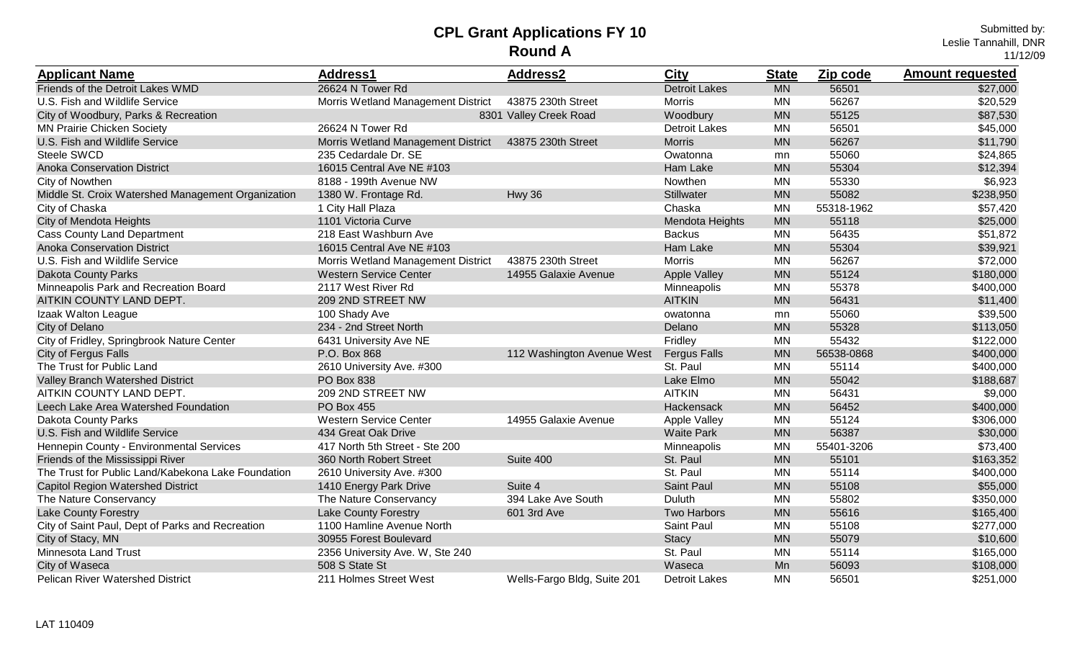Submitted by: Leslie Tannahill, DNR 11/12/09

| <b>Applicant Name</b>                              | Address1                           | <b>Address2</b>             | <b>City</b>          | <b>State</b> | Zip code   | <b>Amount requested</b> |
|----------------------------------------------------|------------------------------------|-----------------------------|----------------------|--------------|------------|-------------------------|
| Friends of the Detroit Lakes WMD                   | 26624 N Tower Rd                   |                             | <b>Detroit Lakes</b> | <b>MN</b>    | 56501      | \$27,000                |
| U.S. Fish and Wildlife Service                     | Morris Wetland Management District | 43875 230th Street          | <b>Morris</b>        | <b>MN</b>    | 56267      | \$20,529                |
| City of Woodbury, Parks & Recreation               |                                    | 8301 Valley Creek Road      | Woodbury             | <b>MN</b>    | 55125      | \$87,530                |
| <b>MN Prairie Chicken Society</b>                  | 26624 N Tower Rd                   |                             | <b>Detroit Lakes</b> | <b>MN</b>    | 56501      | \$45,000                |
| U.S. Fish and Wildlife Service                     | Morris Wetland Management District | 43875 230th Street          | <b>Morris</b>        | <b>MN</b>    | 56267      | \$11,790                |
| Steele SWCD                                        | 235 Cedardale Dr. SE               |                             | Owatonna             | mn           | 55060      | \$24,865                |
| <b>Anoka Conservation District</b>                 | 16015 Central Ave NE #103          |                             | Ham Lake             | <b>MN</b>    | 55304      | \$12,394                |
| City of Nowthen                                    | 8188 - 199th Avenue NW             |                             | Nowthen              | <b>MN</b>    | 55330      | \$6,923                 |
| Middle St. Croix Watershed Management Organization | 1380 W. Frontage Rd.               | Hwy 36                      | Stillwater           | <b>MN</b>    | 55082      | \$238,950               |
| City of Chaska                                     | 1 City Hall Plaza                  |                             | Chaska               | <b>MN</b>    | 55318-1962 | \$57,420                |
| City of Mendota Heights                            | 1101 Victoria Curve                |                             | Mendota Heights      | <b>MN</b>    | 55118      | \$25,000                |
| <b>Cass County Land Department</b>                 | 218 East Washburn Ave              |                             | <b>Backus</b>        | <b>MN</b>    | 56435      | \$51,872                |
| <b>Anoka Conservation District</b>                 | 16015 Central Ave NE #103          |                             | Ham Lake             | <b>MN</b>    | 55304      | \$39,921                |
| U.S. Fish and Wildlife Service                     | Morris Wetland Management District | 43875 230th Street          | <b>Morris</b>        | <b>MN</b>    | 56267      | \$72,000                |
| <b>Dakota County Parks</b>                         | <b>Western Service Center</b>      | 14955 Galaxie Avenue        | <b>Apple Valley</b>  | <b>MN</b>    | 55124      | \$180,000               |
| Minneapolis Park and Recreation Board              | 2117 West River Rd                 |                             | Minneapolis          | <b>MN</b>    | 55378      | \$400,000               |
| AITKIN COUNTY LAND DEPT.                           | 209 2ND STREET NW                  |                             | <b>AITKIN</b>        | <b>MN</b>    | 56431      | \$11,400                |
| Izaak Walton League                                | 100 Shady Ave                      |                             | owatonna             | mn           | 55060      | \$39,500                |
| City of Delano                                     | 234 - 2nd Street North             |                             | Delano               | <b>MN</b>    | 55328      | \$113,050               |
| City of Fridley, Springbrook Nature Center         | 6431 University Ave NE             |                             | Fridley              | <b>MN</b>    | 55432      | \$122,000               |
| City of Fergus Falls                               | P.O. Box 868                       | 112 Washington Avenue West  | <b>Fergus Falls</b>  | <b>MN</b>    | 56538-0868 | \$400,000               |
| The Trust for Public Land                          | 2610 University Ave. #300          |                             | St. Paul             | MN           | 55114      | \$400,000               |
| Valley Branch Watershed District                   | PO Box 838                         |                             | Lake Elmo            | <b>MN</b>    | 55042      | \$188,687               |
| AITKIN COUNTY LAND DEPT.                           | 209 2ND STREET NW                  |                             | <b>AITKIN</b>        | <b>MN</b>    | 56431      | \$9,000                 |
| Leech Lake Area Watershed Foundation               | <b>PO Box 455</b>                  |                             | Hackensack           | <b>MN</b>    | 56452      | \$400,000               |
| <b>Dakota County Parks</b>                         | <b>Western Service Center</b>      | 14955 Galaxie Avenue        | <b>Apple Valley</b>  | <b>MN</b>    | 55124      | \$306,000               |
| U.S. Fish and Wildlife Service                     | 434 Great Oak Drive                |                             | <b>Waite Park</b>    | <b>MN</b>    | 56387      | \$30,000                |
| Hennepin County - Environmental Services           | 417 North 5th Street - Ste 200     |                             | Minneapolis          | <b>MN</b>    | 55401-3206 | \$73,400                |
| Friends of the Mississippi River                   | 360 North Robert Street            | Suite 400                   | St. Paul             | <b>MN</b>    | 55101      | \$163,352               |
| The Trust for Public Land/Kabekona Lake Foundation | 2610 University Ave. #300          |                             | St. Paul             | <b>MN</b>    | 55114      | \$400,000               |
| Capitol Region Watershed District                  | 1410 Energy Park Drive             | Suite 4                     | Saint Paul           | <b>MN</b>    | 55108      | \$55,000                |
| The Nature Conservancy                             | The Nature Conservancy             | 394 Lake Ave South          | Duluth               | <b>MN</b>    | 55802      | \$350,000               |
| <b>Lake County Forestry</b>                        | <b>Lake County Forestry</b>        | 601 3rd Ave                 | Two Harbors          | <b>MN</b>    | 55616      | \$165,400               |
| City of Saint Paul, Dept of Parks and Recreation   | 1100 Hamline Avenue North          |                             | Saint Paul           | <b>MN</b>    | 55108      | \$277,000               |
| City of Stacy, MN                                  | 30955 Forest Boulevard             |                             | <b>Stacy</b>         | <b>MN</b>    | 55079      | \$10,600                |
| <b>Minnesota Land Trust</b>                        | 2356 University Ave. W, Ste 240    |                             | St. Paul             | MN           | 55114      | \$165,000               |
| City of Waseca                                     | 508 S State St                     |                             | Waseca               | Mn           | 56093      | \$108,000               |
| <b>Pelican River Watershed District</b>            | 211 Holmes Street West             | Wells-Fargo Bldg, Suite 201 | Detroit Lakes        | <b>MN</b>    | 56501      | \$251,000               |